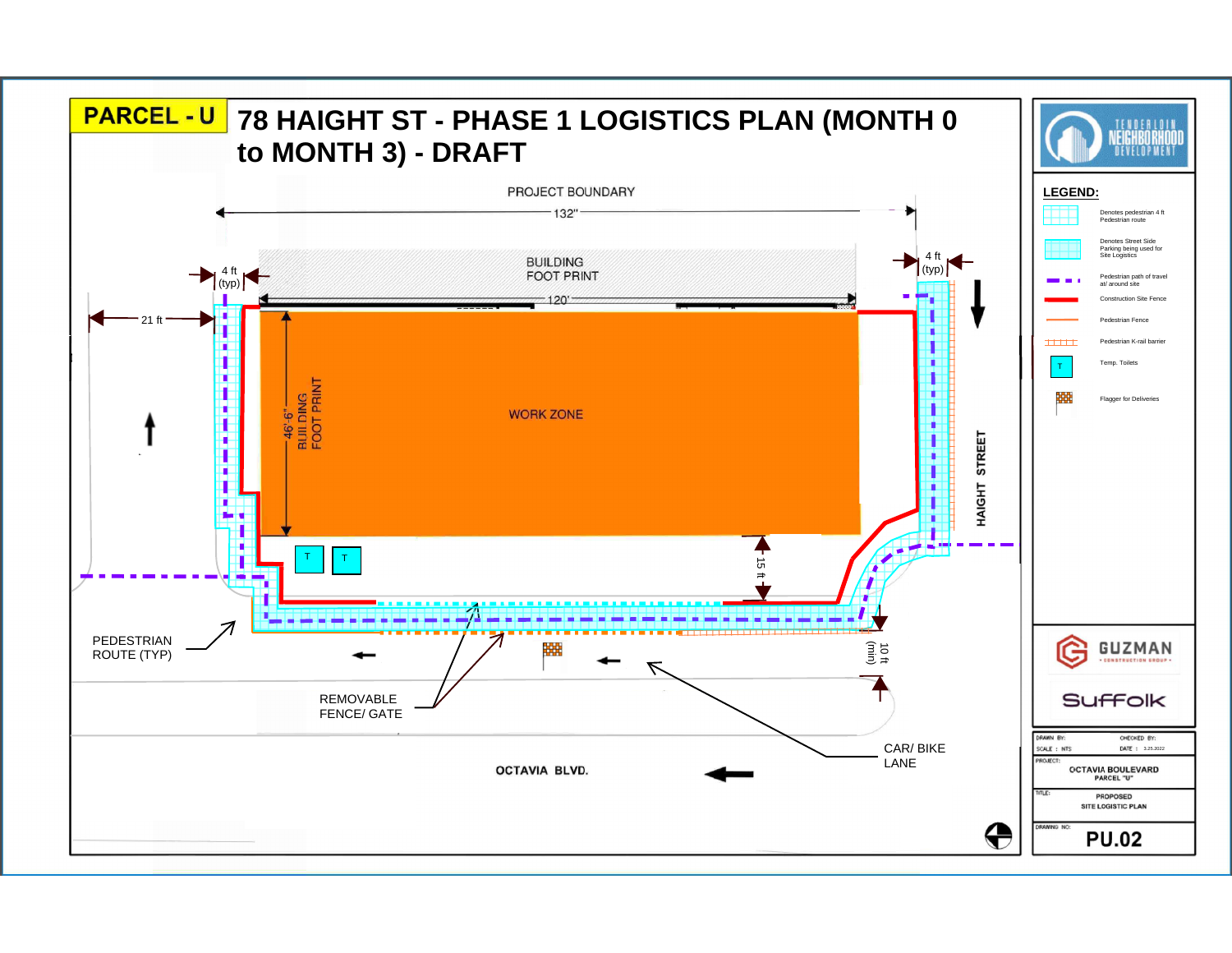